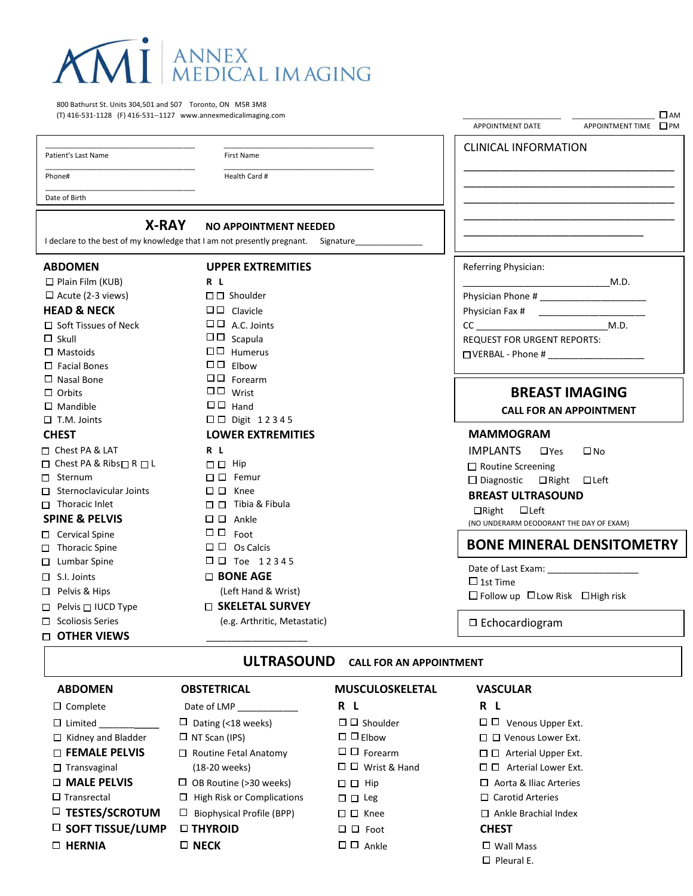

800 Bathurst St. Units 304,501 and 507 Toronto, ON M5R 3M8 (T) 416-531-1128 (F) 416-531--1127 www.annexmedicalimaging.com

Patient's Last Name

**First Name** 

Health Card #

Date of Birth

Phone#

### **X-RAY NO APPOINTMENT NEEDED**

### I declare to the best of my knowledge that I am not presently pregnant. Signature **ABDOMEN UPPER EXTREMITIES** Referring Physician:  $\Box$  Plain Film (KUB)  $R<sub>L</sub>$ M.D.  $\Box$  Acute (2-3 views)  $\square \square$  Shoulder Physician Phone # **HEAD & NECK**  $\square \square$  Clavicle Physician Fax #  $\square \square$  A.C. Joints  $\Box$  Soft Tissues of Neck  $CC$ M.D.  $\Box$  Skull  $\Box$  Scapula REQUEST FOR URGENT REPORTS:  $\Box$  Humerus  $\Box$  Mastoids  $\Box$  VERBAL - Phone # $\Box$  $\Box$  Facial Bones  $\Box$  $\Box$  Flhow  $\Box$  $\Box$  Forearm  $\square$  Nasal Bone  $\Box$   $\Box$  Wrist **BREAST IMAGING**  $\Box$  Orbits  $\square$  Mandible  $\Box$  Hand **CALL FOR AN APPOINTMENT**  $\Box$   $\Box$  Digit 12345  $\square$  T.M. Joints **CHEST LOWER EXTREMITIES MAMMOGRAM** □ Chest PA & LAT  $R<sub>1</sub>$ **IMPLANTS**  $\Box Y$ es  $\square$  No  $\Box$   $\Box$  Hip □ Chest PA & Ribs□R □L □ Routine Screening □ Sternum  $\square$   $\square$  Femur □ Diagnostic □ Right □ Left  $\Box$  Sternoclavicular Joints  $\Box$   $\Box$  Knee **BREAST ULTRASOUND**  $\Box$  Thoracic Inlet  $\square$   $\square$  Tibia & Fibula □Right □Left  $\square$   $\square$  Ankle **SPINE & PELVIS** (NO UNDERARM DEODORANT THE DAY OF EXAM)  $\Box$   $\Box$  Foot □ Cervical Spine **BONE MINERAL DENSITOMETRY**  $\square$   $\square$  Os Calcis  $\Box$  Thoracic Spine □ □ Toe 12345  $\Box$  Lumbar Spine Date of Last Exam:  $\Box$  S.I. Joints  $\Box$  BONE AGE  $\Box$  1st Time (Left Hand & Wrist) □ Pelvis & Hips □ Follow up □ Low Risk □ High risk □ SKELETAL SURVEY  $\Box$  Pelvis  $\Box$  IUCD Type  $\Box$  Scoliosis Series (e.g. Arthritic, Metastatic)  $\Box$  Echocardiogram **D OTHER VIEWS** ULTRASOUND CALL FOR AN APPOINTMENT

 $\Box$  AM

APPOINTMENT TIME PM

APPOINTMENT DATE

**CLINICAL INFORMATION** 

#### **ABDOMEN OBSTETRICAL MUSCULOSKELETAL VASCULAR**  $R L$ R L  $\Box$  Complete Date of LMP  $\Box$  Limited  $\Box$  Dating (<18 weeks)  $\square$   $\square$  Shoulder  $\Box$   $\Box$  Venous Upper Ext.  $\Box$  Kidney and Bladder  $\Box$  NT Scan (IPS)  $\Box$   $\Box$  Elbow □ □ Venous Lower Ext.  $\Box$   $\Box$  Forearm  $\square$  FEMALE PELVIS □ Routine Fetal Anatomy  $\Box$   $\Box$  Arterial Upper Ext.  $\Box$   $\Box$  Wrist & Hand  $\square$   $\square$  Arterial Lower Ext.  $\Box$  Transvaginal (18-20 weeks) **D MALE PELVIS**  $\Box$  OB Routine (>30 weeks)  $\Box$   $\Box$  Hip  $\Box$  Aorta & Iliac Arteries  $\Box$  Transrectal  $\Box$  High Risk or Complications  $\Box$  Carotid Arteries  $\square$   $\square$  Leg  $\Box$  Biophysical Profile (BPP)  $\Box$  TESTES/SCROTUM  $\square$   $\square$  Knee  $\Box$  Ankle Brachial Index  $\square$  SOFT TISSUE/LUMP □ THYROID  $\Box$   $\Box$  Foot **CHEST D HERNIA**  $\square$  NECK  $\Box$   $\Box$  Ankle  $\square$  Wall Mass  $\Box$  Pleural E.